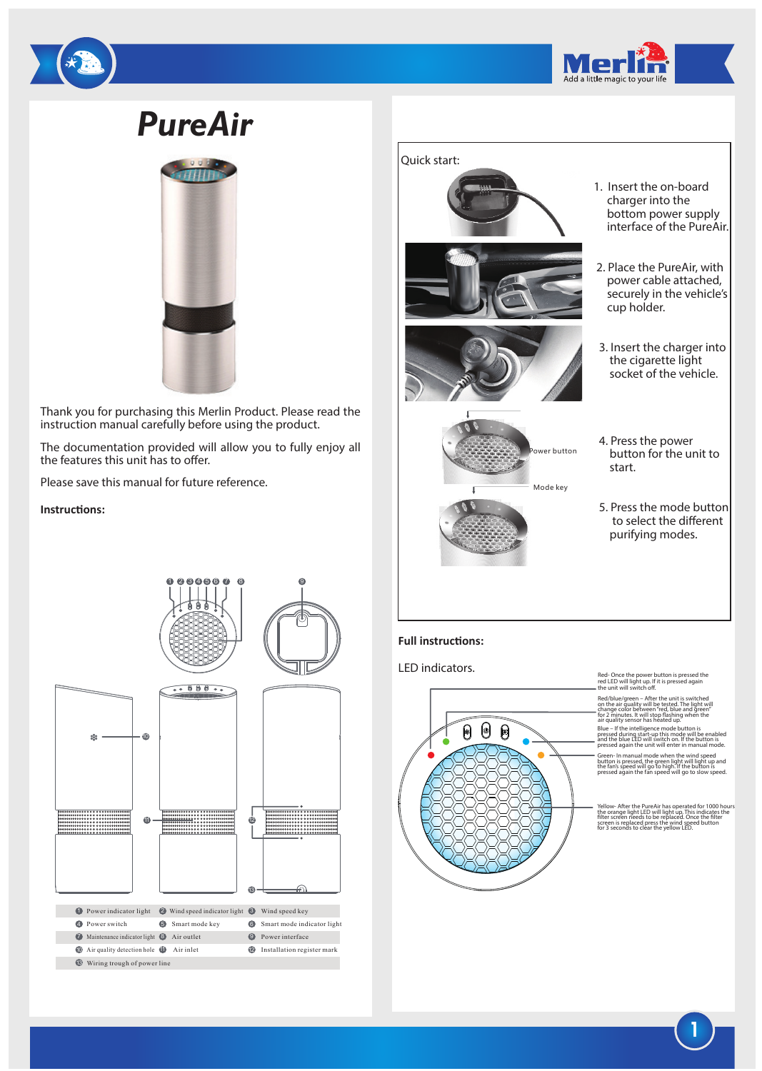

# *PureAir*



Thank you for purchasing this Merlin Product. Please read the instruction manual carefully before using the product.

The documentation provided will allow you to fully enjoy all the features this unit has to offer.

 $0.00000000$ 

9

Please save this manual for future reference.

## **Instructions:**



Mode key start.



- 1. Insert the on-board charger into the bottom power supply interface of the PureAir.
- 2. Place the PureAir, with power cable attached, securely in the vehicle's cup holder.
- 3. Insert the charger into the cigarette light socket of the vehicle.
- 4. Press the power button for the unit to
- 5. Press the mode button to select the different purifying modes.

### **Full instructions:**

LED indicators.



Red- Once the power button is pressed the<br>red LED will light up. If it is pressed again<br>the unit will switch off.

Red/blue/green – After the unit is switched on the air quality will be tested. The light will change color between "red, blue and green" for 2 minutes. It will stop flashing when the air quality sensor has heated up. Blue – If the intelligence mode button is  $\frac{m}{p}$ and the blue LED will switch on. If the button is pressed again the unit will enter in manual mode.

Green- In manual mode when the wind speed button is pressed, the green light will light up and the fan's speed will go to high. If the button is pressed again the fan speed will go to slow speed.

Yellow- After the PureAir has operated for 1000 hours the orange light LED will light up. This indicates the filter screen needs to be replaced. Once the filter screen is replaced press the wind speed button for 3 seconds to clear the yellow LED.

**1**

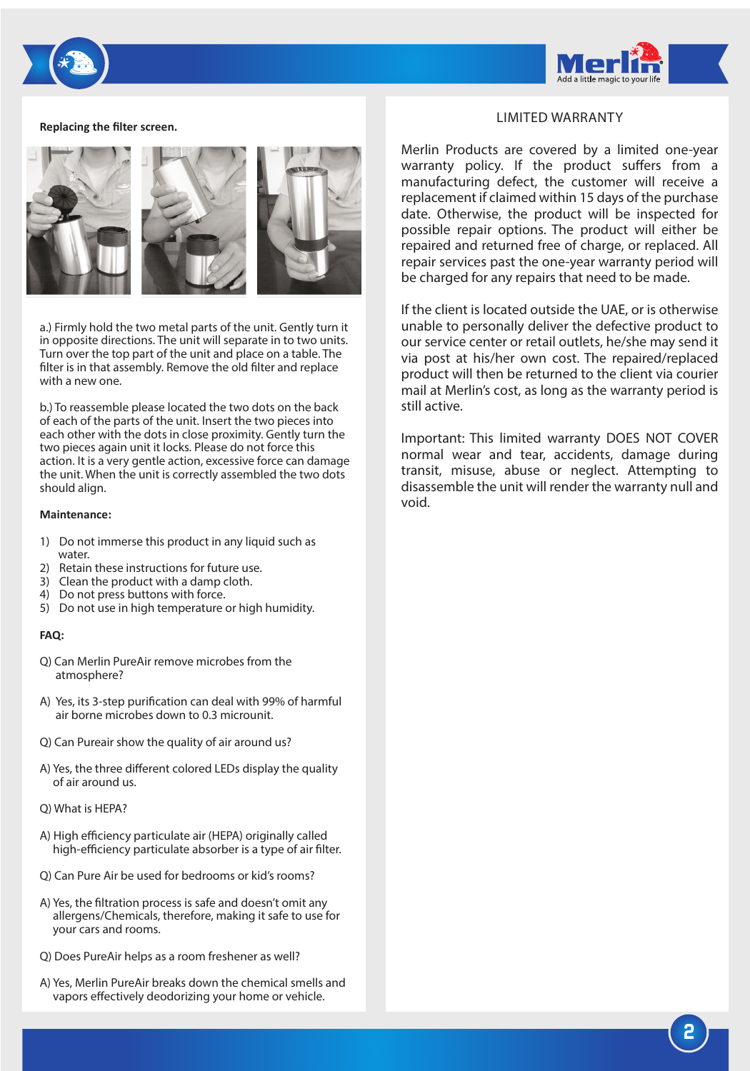

#### **Replacing the filter screen.**



a.) Firmly hold the two metal parts of the unit. Gently turn it in opposite directions. The unit will separate in to two units. Turn over the top part of the unit and place on a table. The filter is in that assembly. Remove the old filter and replace with a new one.

b.) To reassemble please located the two dots on the back of each of the parts of the unit. Insert the two pieces into each other with the dots in close proximity. Gently turn the two pieces again unit it locks. Please do not force this action. It is a very gentle action, excessive force can damage the unit. When the unit is correctly assembled the two dots should align.

#### **Maintenance:**

- 1) Do not immerse this product in any liquid such as water.
- 2) Retain these instructions for future use.
- 3) Clean the product with a damp cloth.
- 4) Do not press buttons with force.
- 5) Do not use in high temperature or high humidity.

#### **FAQ:**

- Q) Can Merlin PureAir remove microbes from the atmosphere?
- A) Yes, its 3-step purification can deal with 99% of harmful air borne microbes down to 0.3 microunit.
- Q) Can Pureair show the quality of air around us?
- A) Yes, the three different colored LEDs display the quality of air around us.
- Q) What is HEPA?
- A) High efficiency particulate air (HEPA) originally called high-efficiency particulate absorber is a type of air filter.
- Q) Can Pure Air be used for bedrooms or kid's rooms?
- A) Yes, the filtration process is safe and doesn't omit any allergens/Chemicals, therefore, making it safe to use for your cars and rooms.
- Q) Does PureAir helps as a room freshener as well?
- A) Yes, Merlin PureAir breaks down the chemical smells and vapors effectively deodorizing your home or vehicle.

## LIMITED WARRANTY

Merlin Products are covered by a limited one-year warranty policy. If the product suffers from a manufacturing defect, the customer will receive a replacement if claimed within 15 days of the purchase date. Otherwise, the product will be inspected for possible repair options. The product will either be repaired and returned free of charge, or replaced. All repair services past the one-year warranty period will be charged for any repairs that need to be made.

If the client is located outside the UAE, or is otherwise unable to personally deliver the defective product to our service center or retail outlets, he/she may send it via post at his/her own cost. The repaired/replaced product will then be returned to the client via courier mail at Merlin's cost, as long as the warranty period is still active.

Important: This limited warranty DOES NOT COVER normal wear and tear, accidents, damage during transit, misuse, abuse or neglect. Attempting to disassemble the unit will render the warranty null and void.